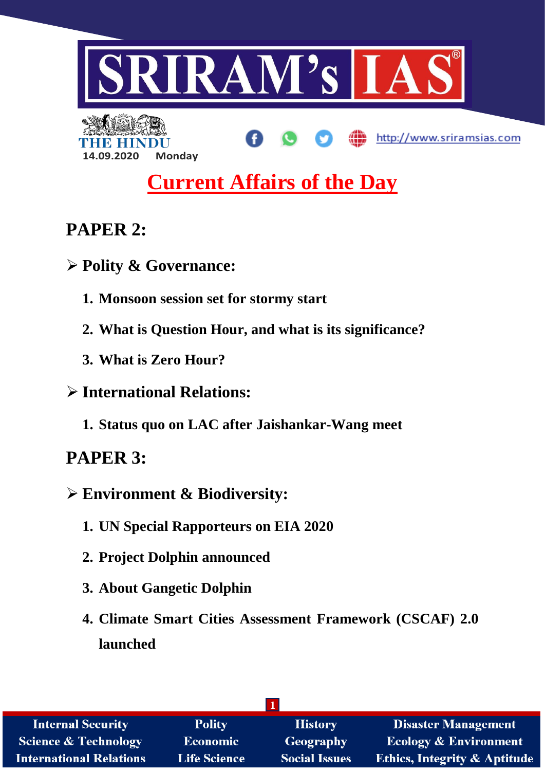

# **Current Affairs of the Day**

## **PAPER 2:**

- **Polity & Governance:**
	- **1. Monsoon session set for stormy start**
	- **2. What is Question Hour, and what is its significance?**
	- **3. What is Zero Hour?**
- **International Relations:**
	- **1. Status quo on LAC after Jaishankar-Wang meet**

## **PAPER 3:**

- **Environment & Biodiversity:**
	- **1. UN Special Rapporteurs on EIA 2020**
	- **2. Project Dolphin announced**
	- **3. About Gangetic Dolphin**
	- **4. Climate Smart Cities Assessment Framework (CSCAF) 2.0 launched**

| <b>Internal Security</b>        | <b>Polity</b>       | <b>History</b>       | <b>Disaster Management</b>              |
|---------------------------------|---------------------|----------------------|-----------------------------------------|
| <b>Science &amp; Technology</b> | <b>Economic</b>     | <b>Geography</b>     | <b>Ecology &amp; Environment</b>        |
| <b>International Relations</b>  | <b>Life Science</b> | <b>Social Issues</b> | <b>Ethics, Integrity &amp; Aptitude</b> |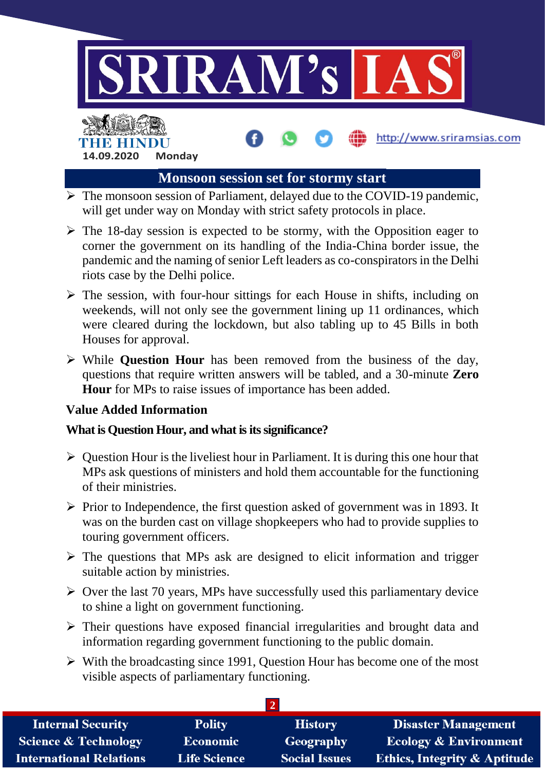

#### **Monsoon session set for stormy start**

- $\triangleright$  The monsoon session of Parliament, delayed due to the COVID-19 pandemic, will get under way on Monday with strict safety protocols in place.
- $\triangleright$  The 18-day session is expected to be stormy, with the Opposition eager to corner the government on its handling of the India-China border issue, the pandemic and the naming of senior Left leaders as co-conspirators in the Delhi riots case by the Delhi police.
- $\triangleright$  The session, with four-hour sittings for each House in shifts, including on weekends, will not only see the government lining up 11 ordinances, which were cleared during the lockdown, but also tabling up to 45 Bills in both Houses for approval.
- While **Question Hour** has been removed from the business of the day, questions that require written answers will be tabled, and a 30-minute **Zero Hour** for MPs to raise issues of importance has been added.

#### **Value Added Information**

**14.09.2020 Monday**

#### **What is Question Hour, and what is its significance?**

- $\triangleright$  Question Hour is the liveliest hour in Parliament. It is during this one hour that MPs ask questions of ministers and hold them accountable for the functioning of their ministries.
- $\triangleright$  Prior to Independence, the first question asked of government was in 1893. It was on the burden cast on village shopkeepers who had to provide supplies to touring government officers.
- $\triangleright$  The questions that MPs ask are designed to elicit information and trigger suitable action by ministries.
- $\triangleright$  Over the last 70 years, MPs have successfully used this parliamentary device to shine a light on government functioning.
- $\triangleright$  Their questions have exposed financial irregularities and brought data and information regarding government functioning to the public domain.
- $\triangleright$  With the broadcasting since 1991, Question Hour has become one of the most visible aspects of parliamentary functioning.

| <b>Internal Security</b>        | <b>Polity</b>       | <b>History</b>       | <b>Disaster Management</b>              |
|---------------------------------|---------------------|----------------------|-----------------------------------------|
| <b>Science &amp; Technology</b> | <b>Economic</b>     | Geography            | <b>Ecology &amp; Environment</b>        |
| <b>International Relations</b>  | <b>Life Science</b> | <b>Social Issues</b> | <b>Ethics, Integrity &amp; Aptitude</b> |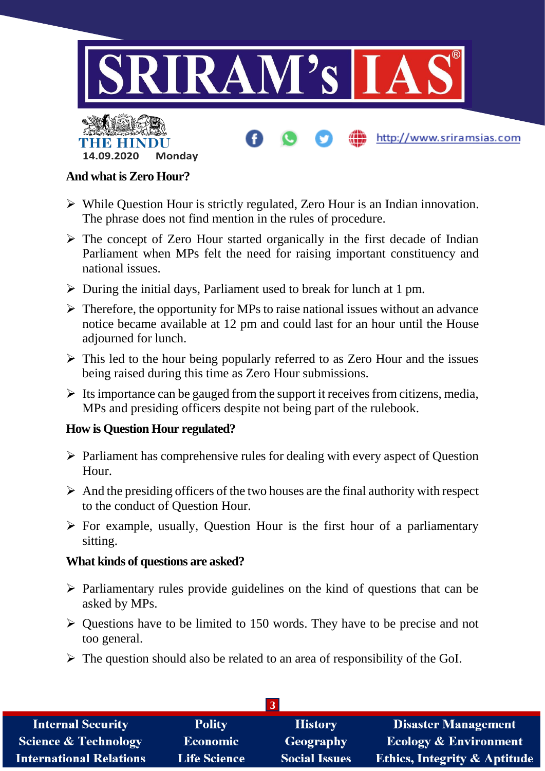

#### **And what is Zero Hour?**

- While Question Hour is strictly regulated, Zero Hour is an Indian innovation. The phrase does not find mention in the rules of procedure.
- $\triangleright$  The concept of Zero Hour started organically in the first decade of Indian Parliament when MPs felt the need for raising important constituency and national issues.
- $\triangleright$  During the initial days, Parliament used to break for lunch at 1 pm.
- $\triangleright$  Therefore, the opportunity for MPs to raise national issues without an advance notice became available at 12 pm and could last for an hour until the House adjourned for lunch.
- $\triangleright$  This led to the hour being popularly referred to as Zero Hour and the issues being raised during this time as Zero Hour submissions.
- $\triangleright$  Its importance can be gauged from the support it receives from citizens, media, MPs and presiding officers despite not being part of the rulebook.

#### **How is Question Hour regulated?**

- $\triangleright$  Parliament has comprehensive rules for dealing with every aspect of Question Hour.
- $\triangleright$  And the presiding officers of the two houses are the final authority with respect to the conduct of Question Hour.
- $\triangleright$  For example, usually, Question Hour is the first hour of a parliamentary sitting.

#### **What kinds of questions are asked?**

- $\triangleright$  Parliamentary rules provide guidelines on the kind of questions that can be asked by MPs.
- $\triangleright$  Questions have to be limited to 150 words. They have to be precise and not too general.
- $\triangleright$  The question should also be related to an area of responsibility of the GoI.

| <b>Internal Security</b>       | <b>Polity</b>       | <b>History</b>       | <b>Disaster Management</b>              |  |
|--------------------------------|---------------------|----------------------|-----------------------------------------|--|
| Science & Technology           | Economic            | Geography            | <b>Ecology &amp; Environment</b>        |  |
| <b>International Relations</b> | <b>Life Science</b> | <b>Social Issues</b> | <b>Ethics, Integrity &amp; Aptitude</b> |  |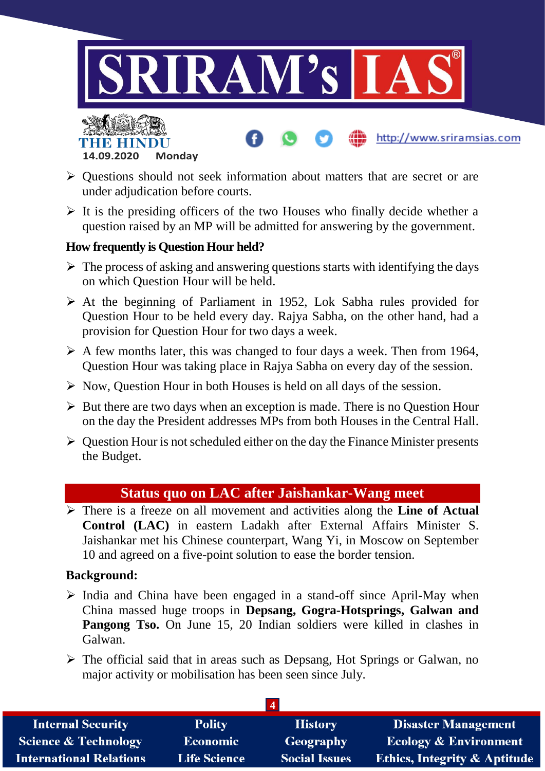

- $\triangleright$  Ouestions should not seek information about matters that are secret or are under adjudication before courts.
- $\triangleright$  It is the presiding officers of the two Houses who finally decide whether a question raised by an MP will be admitted for answering by the government.

#### **How frequently is Question Hour held?**

**14.09.2020 Monday**

THE BELLET

- $\triangleright$  The process of asking and answering questions starts with identifying the days on which Question Hour will be held.
- $\triangleright$  At the beginning of Parliament in 1952, Lok Sabha rules provided for Question Hour to be held every day. Rajya Sabha, on the other hand, had a provision for Question Hour for two days a week.
- $\triangleright$  A few months later, this was changed to four days a week. Then from 1964, Question Hour was taking place in Rajya Sabha on every day of the session.
- $\triangleright$  Now, Question Hour in both Houses is held on all days of the session.
- $\triangleright$  But there are two days when an exception is made. There is no Ouestion Hour on the day the President addresses MPs from both Houses in the Central Hall.
- $\triangleright$  Question Hour is not scheduled either on the day the Finance Minister presents the Budget.

## **Status quo on LAC after Jaishankar-Wang meet**

 There is a freeze on all movement and activities along the **Line of Actual Control (LAC)** in eastern Ladakh after External Affairs Minister S. Jaishankar met his Chinese counterpart, Wang Yi, in Moscow on September 10 and agreed on a five-point solution to ease the border tension.

#### **Background:**

- $\triangleright$  India and China have been engaged in a stand-off since April-May when China massed huge troops in **Depsang, Gogra-Hotsprings, Galwan and Pangong Tso.** On June 15, 20 Indian soldiers were killed in clashes in Galwan.
- $\triangleright$  The official said that in areas such as Depsang, Hot Springs or Galwan, no major activity or mobilisation has been seen since July.

| <b>Internal Security</b>        | <b>Polity</b>       | <b>History</b>       | <b>Disaster Management</b>              |  |
|---------------------------------|---------------------|----------------------|-----------------------------------------|--|
| <b>Science &amp; Technology</b> | Economic            | Geography            | <b>Ecology &amp; Environment</b>        |  |
| <b>International Relations</b>  | <b>Life Science</b> | <b>Social Issues</b> | <b>Ethics, Integrity &amp; Aptitude</b> |  |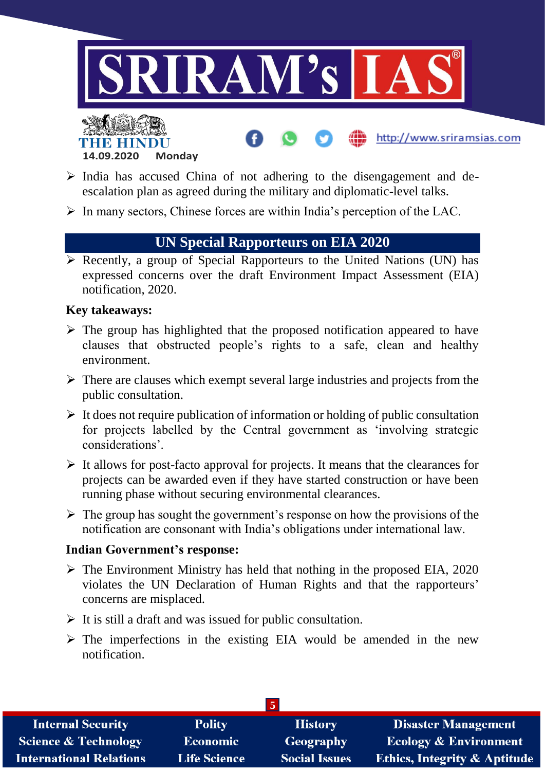

http://www.sriramsias.com



- $\triangleright$  India has accused China of not adhering to the disengagement and deescalation plan as agreed during the military and diplomatic-level talks.
- $\triangleright$  In many sectors, Chinese forces are within India's perception of the LAC.

## **UN Special Rapporteurs on EIA 2020**

 $\triangleright$  Recently, a group of Special Rapporteurs to the United Nations (UN) has expressed concerns over the draft Environment Impact Assessment (EIA) notification, 2020.

## **Key takeaways:**

- $\triangleright$  The group has highlighted that the proposed notification appeared to have clauses that obstructed people's rights to a safe, clean and healthy environment.
- $\triangleright$  There are clauses which exempt several large industries and projects from the public consultation.
- $\triangleright$  It does not require publication of information or holding of public consultation for projects labelled by the Central government as 'involving strategic considerations'.
- $\triangleright$  It allows for post-facto approval for projects. It means that the clearances for projects can be awarded even if they have started construction or have been running phase without securing environmental clearances.
- $\triangleright$  The group has sought the government's response on how the provisions of the notification are consonant with India's obligations under international law.

## **Indian Government's response:**

- $\triangleright$  The Environment Ministry has held that nothing in the proposed EIA, 2020 violates the UN Declaration of Human Rights and that the rapporteurs' concerns are misplaced.
- $\triangleright$  It is still a draft and was issued for public consultation.
- $\triangleright$  The imperfections in the existing EIA would be amended in the new notification.

| <b>Internal Security</b>        | <b>Polity</b>       | <b>History</b>       | <b>Disaster Management</b>              |  |
|---------------------------------|---------------------|----------------------|-----------------------------------------|--|
| <b>Science &amp; Technology</b> | <b>Economic</b>     | Geography            | <b>Ecology &amp; Environment</b>        |  |
| <b>International Relations</b>  | <b>Life Science</b> | <b>Social Issues</b> | <b>Ethics, Integrity &amp; Aptitude</b> |  |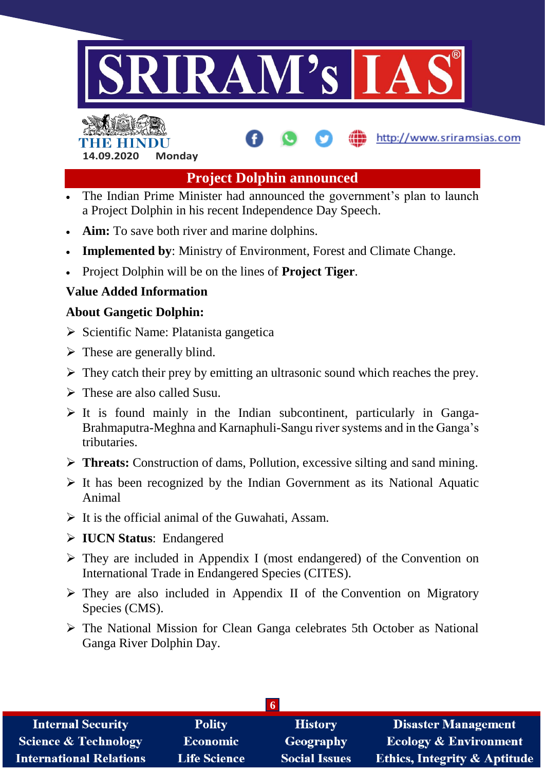

# INEIR EIN **14.09.2020 Monday**

## **Project Dolphin announced**

http://www.sriramsias.com

- The Indian Prime Minister had announced the government's plan to launch a Project Dolphin in his recent Independence Day Speech.
- **Aim:** To save both river and marine dolphins.
- **Implemented by**: Ministry of Environment, Forest and Climate Change.
- Project Dolphin will be on the lines of **Project Tiger**.

## **Value Added Information**

## **About Gangetic Dolphin:**

- $\triangleright$  Scientific Name: Platanista gangetica
- $\triangleright$  These are generally blind.
- $\triangleright$  They catch their prey by emitting an ultrasonic sound which reaches the prey.
- $\triangleright$  These are also called Susu.
- $\triangleright$  It is found mainly in the Indian subcontinent, particularly in Ganga-Brahmaputra-Meghna and Karnaphuli-Sangu river systems and in the Ganga's tributaries.
- **Threats:** Construction of dams, Pollution, excessive silting and sand mining.
- $\triangleright$  It has been recognized by the Indian Government as its National Aquatic Animal
- $\triangleright$  It is the official animal of the Guwahati, Assam.
- **IUCN Status**: Endangered
- $\triangleright$  They are included in Appendix I (most endangered) of the Convention on International Trade in Endangered Species (CITES).
- $\triangleright$  They are also included in Appendix II of the Convention on Migratory Species (CMS).
- The National Mission for Clean Ganga celebrates 5th October as National Ganga River Dolphin Day.

| <b>Internal Security</b>        | <b>Polity</b>       | <b>History</b>       | <b>Disaster Management</b>              |  |
|---------------------------------|---------------------|----------------------|-----------------------------------------|--|
| <b>Science &amp; Technology</b> | Economic            | Geography            | <b>Ecology &amp; Environment</b>        |  |
| <b>International Relations</b>  | <b>Life Science</b> | <b>Social Issues</b> | <b>Ethics, Integrity &amp; Aptitude</b> |  |